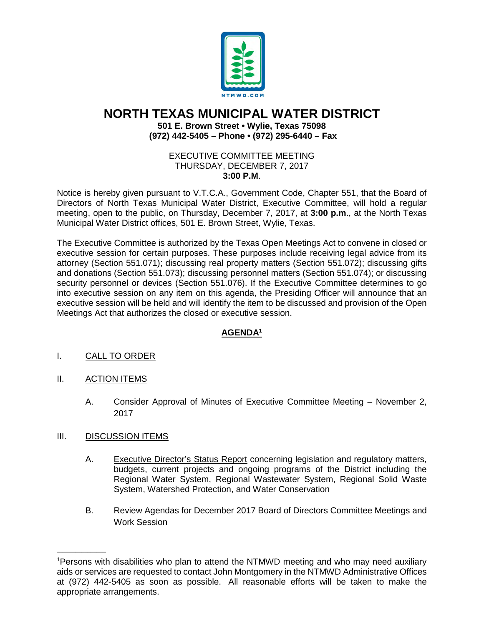

# **NORTH TEXAS MUNICIPAL WATER DISTRICT 501 E. Brown Street • Wylie, Texas 75098 (972) 442-5405 – Phone • (972) 295-6440 – Fax**

#### EXECUTIVE COMMITTEE MEETING THURSDAY, DECEMBER 7, 2017 **3:00 P.M**.

Notice is hereby given pursuant to V.T.C.A., Government Code, Chapter 551, that the Board of Directors of North Texas Municipal Water District, Executive Committee, will hold a regular meeting, open to the public, on Thursday, December 7, 2017, at **3:00 p.m**., at the North Texas Municipal Water District offices, 501 E. Brown Street, Wylie, Texas.

The Executive Committee is authorized by the Texas Open Meetings Act to convene in closed or executive session for certain purposes. These purposes include receiving legal advice from its attorney (Section 551.071); discussing real property matters (Section 551.072); discussing gifts and donations (Section 551.073); discussing personnel matters (Section 551.074); or discussing security personnel or devices (Section 551.076). If the Executive Committee determines to go into executive session on any item on this agenda, the Presiding Officer will announce that an executive session will be held and will identify the item to be discussed and provision of the Open Meetings Act that authorizes the closed or executive session.

## **AGENDA1**

## I. CALL TO ORDER

- II. ACTION ITEMS
	- A. Consider Approval of Minutes of Executive Committee Meeting November 2, 2017

#### III. DISCUSSION ITEMS

 $\overline{\phantom{a}}$ 

- A. Executive Director's Status Report concerning legislation and regulatory matters, budgets, current projects and ongoing programs of the District including the Regional Water System, Regional Wastewater System, Regional Solid Waste System, Watershed Protection, and Water Conservation
- B. Review Agendas for December 2017 Board of Directors Committee Meetings and Work Session

<sup>1</sup> Persons with disabilities who plan to attend the NTMWD meeting and who may need auxiliary aids or services are requested to contact John Montgomery in the NTMWD Administrative Offices at (972) 442-5405 as soon as possible. All reasonable efforts will be taken to make the appropriate arrangements.